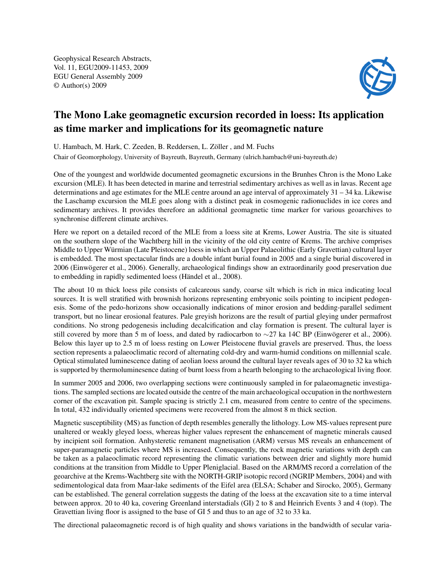Geophysical Research Abstracts, Vol. 11, EGU2009-11453, 2009 EGU General Assembly 2009 © Author(s) 2009



## The Mono Lake geomagnetic excursion recorded in loess: Its application as time marker and implications for its geomagnetic nature

U. Hambach, M. Hark, C. Zeeden, B. Reddersen, L. Zöller , and M. Fuchs

Chair of Geomorphology, University of Bayreuth, Bayreuth, Germany (ulrich.hambach@uni-bayreuth.de)

One of the youngest and worldwide documented geomagnetic excursions in the Brunhes Chron is the Mono Lake excursion (MLE). It has been detected in marine and terrestrial sedimentary archives as well as in lavas. Recent age determinations and age estimates for the MLE centre around an age interval of approximately  $31 - 34$  ka. Likewise the Laschamp excursion the MLE goes along with a distinct peak in cosmogenic radionuclides in ice cores and sedimentary archives. It provides therefore an additional geomagnetic time marker for various geoarchives to synchronise different climate archives.

Here we report on a detailed record of the MLE from a loess site at Krems, Lower Austria. The site is situated on the southern slope of the Wachtberg hill in the vicinity of the old city centre of Krems. The archive comprises Middle to Upper Würmian (Late Pleistocene) loess in which an Upper Palaeolithic (Early Gravettian) cultural layer is embedded. The most spectacular finds are a double infant burial found in 2005 and a single burial discovered in 2006 (Einwögerer et al., 2006). Generally, archaeological findings show an extraordinarily good preservation due to embedding in rapidly sedimented loess (Händel et al., 2008).

The about 10 m thick loess pile consists of calcareous sandy, coarse silt which is rich in mica indicating local sources. It is well stratified with brownish horizons representing embryonic soils pointing to incipient pedogenesis. Some of the pedo-horizons show occasionally indications of minor erosion and bedding-parallel sediment transport, but no linear erosional features. Pale greyish horizons are the result of partial gleying under permafrost conditions. No strong pedogenesis including decalcification and clay formation is present. The cultural layer is still covered by more than 5 m of loess, and dated by radiocarbon to ∼27 ka 14C BP (Einwögerer et al., 2006). Below this layer up to 2.5 m of loess resting on Lower Pleistocene fluvial gravels are preserved. Thus, the loess section represents a palaeoclimatic record of alternating cold-dry and warm-humid conditions on millennial scale. Optical stimulated luminescence dating of aeolian loess around the cultural layer reveals ages of 30 to 32 ka which is supported by thermoluminesence dating of burnt loess from a hearth belonging to the archaeological living floor.

In summer 2005 and 2006, two overlapping sections were continuously sampled in for palaeomagnetic investigations. The sampled sections are located outside the centre of the main archaeological occupation in the northwestern corner of the excavation pit. Sample spacing is strictly 2.1 cm, measured from centre to centre of the specimens. In total, 432 individually oriented specimens were recovered from the almost 8 m thick section.

Magnetic susceptibility (MS) as function of depth resembles generally the lithology. Low MS-values represent pure unaltered or weakly gleyed loess, whereas higher values represent the enhancement of magnetic minerals caused by incipient soil formation. Anhysteretic remanent magnetisation (ARM) versus MS reveals an enhancement of super-paramagnetic particles where MS is increased. Consequently, the rock magnetic variations with depth can be taken as a palaeoclimatic record representing the climatic variations between drier and slightly more humid conditions at the transition from Middle to Upper Pleniglacial. Based on the ARM/MS record a correlation of the geoarchive at the Krems-Wachtberg site with the NORTH-GRIP isotopic record (NGRIP Members, 2004) and with sedimentological data from Maar-lake sediments of the Eifel area (ELSA; Schaber and Sirocko, 2005), Germany can be established. The general correlation suggests the dating of the loess at the excavation site to a time interval between approx. 20 to 40 ka, covering Greenland interstadials (GI) 2 to 8 and Heinrich Events 3 and 4 (top). The Gravettian living floor is assigned to the base of GI 5 and thus to an age of 32 to 33 ka.

The directional palaeomagnetic record is of high quality and shows variations in the bandwidth of secular varia-